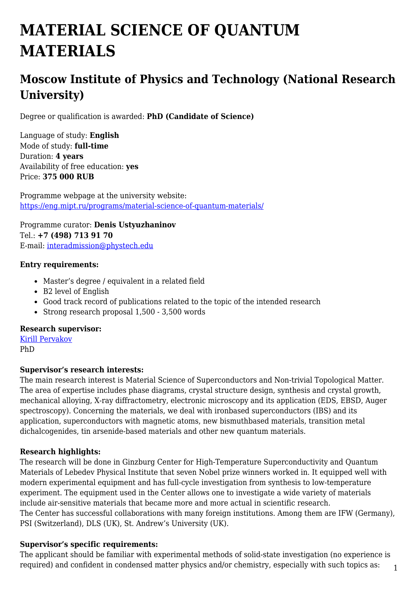# **MATERIAL SCIENCE OF QUANTUM MATERIALS**

## **Moscow Institute of Physics and Technology (National Research University)**

Degree or qualification is awarded: **PhD (Candidate of Science)**

Language of study: **English** Mode of study: **full-time** Duration: **4 years** Availability of free education: **yes** Price: **375 000 RUB**

Programme webpage at the university website: <https://eng.mipt.ru/programs/material-science-of-quantum-materials/>

Programme curator: **Denis Ustyuzhaninov** Tel.: **+7 (498) 713 91 70** E-mail: [interadmission@phystech.edu](mailto:interadmission@phystech.edu)

#### **Entry requirements:**

- Master's degree / equivalent in a related field
- B2 level of English
- Good track record of publications related to the topic of the intended research
- Strong research proposal 1,500 3,500 words

#### **Research supervisor:**

[Kirill Pervakov](https://www.researchgate.net/profile/Kirill_Pervakov) PhD

#### **Supervisor's research interests:**

The main research interest is Material Science of Superconductors and Non-trivial Topological Matter. The area of expertise includes phase diagrams, crystal structure design, synthesis and crystal growth, mechanical alloying, X-ray diffractometry, electronic microscopy and its application (EDS, EBSD, Auger spectroscopy). Concerning the materials, we deal with ironbased superconductors (IBS) and its application, superconductors with magnetic atoms, new bismuthbased materials, transition metal dichalcogenides, tin arsenide-based materials and other new quantum materials.

#### **Research highlights:**

The research will be done in Ginzburg Center for High-Temperature Superconductivity and Quantum Materials of Lebedev Physical Institute that seven Nobel prize winners worked in. It equipped well with modern experimental equipment and has full-cycle investigation from synthesis to low-temperature experiment. The equipment used in the Center allows one to investigate a wide variety of materials include air-sensitive materials that became more and more actual in scientific research. The Center has successful collaborations with many foreign institutions. Among them are IFW (Germany), PSI (Switzerland), DLS (UK), St. Andrew's University (UK).

#### **Supervisor's specific requirements:**

1 The applicant should be familiar with experimental methods of solid-state investigation (no experience is required) and confident in condensed matter physics and/or chemistry, especially with such topics as: